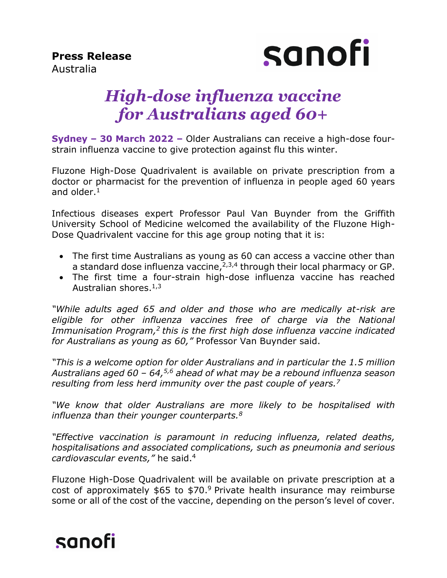**Press Release**  Australia



# *High-dose influenza vaccine for Australians aged 60+*

**Sydney – 30 March 2022 –** Older Australians can receive a high-dose fourstrain influenza vaccine to give protection against flu this winter.

Fluzone High-Dose Quadrivalent is available on private prescription from a doctor or pharmacist for the prevention of influenza in people aged 60 years and older. 1

Infectious diseases expert Professor Paul Van Buynder from the Griffith University School of Medicine welcomed the availability of the Fluzone High-Dose Quadrivalent vaccine for this age group noting that it is:

- The first time Australians as young as 60 can access a vaccine other than a standard dose influenza vaccine, $2,3,4$  through their local pharmacy or GP.
- The first time a four-strain high-dose influenza vaccine has reached Australian shores.<sup>1,3</sup>

*"While adults aged 65 and older and those who are medically at-risk are eligible for other influenza vaccines free of charge via the National*  Immunisation Program,<sup>2</sup> this is the first high dose influenza vaccine indicated *for Australians as young as 60,"* Professor Van Buynder said.

*"This is a welcome option for older Australians and in particular the 1.5 million Australians aged 60 – 64,5,6 ahead of what may be a rebound influenza season resulting from less herd immunity over the past couple of years. 7*

*"We know that older Australians are more likely to be hospitalised with influenza than their younger counterparts.<sup>8</sup>*

*"Effective vaccination is paramount in reducing influenza, related deaths, hospitalisations and associated complications, such as pneumonia and serious cardiovascular events,"* he said.<sup>4</sup>

Fluzone High-Dose Quadrivalent will be available on private prescription at a cost of approximately  $$65$  to  $$70.<sup>9</sup>$  Private health insurance may reimburse some or all of the cost of the vaccine, depending on the person's level of cover.

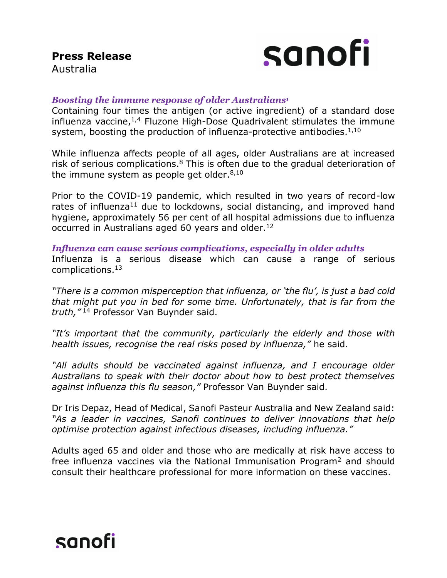

#### *Boosting the immune response of older Australians<sup>1</sup>*

Containing four times the antigen (or active ingredient) of a standard dose influenza vaccine, $1,4$  Fluzone High-Dose Quadrivalent stimulates the immune system, boosting the production of influenza-protective antibodies.<sup>1,10</sup>

While influenza affects people of all ages, older Australians are at increased risk of serious complications.<sup>8</sup> This is often due to the gradual deterioration of the immune system as people get older.<sup>8,10</sup>

Prior to the COVID-19 pandemic, which resulted in two years of record-low rates of influenza<sup>11</sup> due to lockdowns, social distancing, and improved hand hygiene, approximately 56 per cent of all hospital admissions due to influenza occurred in Australians aged 60 years and older.<sup>12</sup>

*Influenza can cause serious complications, especially in older adults*  Influenza is a serious disease which can cause a range of serious complications. 13

*"There is a common misperception that influenza, or 'the flu', is just a bad cold that might put you in bed for some time. Unfortunately, that is far from the truth,"* <sup>14</sup> Professor Van Buynder said.

*"It's important that the community, particularly the elderly and those with health issues, recognise the real risks posed by influenza,"* he said.

*"All adults should be vaccinated against influenza, and I encourage older Australians to speak with their doctor about how to best protect themselves against influenza this flu season,"* Professor Van Buynder said.

Dr Iris Depaz, Head of Medical, Sanofi Pasteur Australia and New Zealand said: *"As a leader in vaccines, Sanofi continues to deliver innovations that help optimise protection against infectious diseases, including influenza."*

Adults aged 65 and older and those who are medically at risk have access to free influenza vaccines via the National Immunisation Program<sup>2</sup> and should consult their healthcare professional for more information on these vaccines.

# sanofi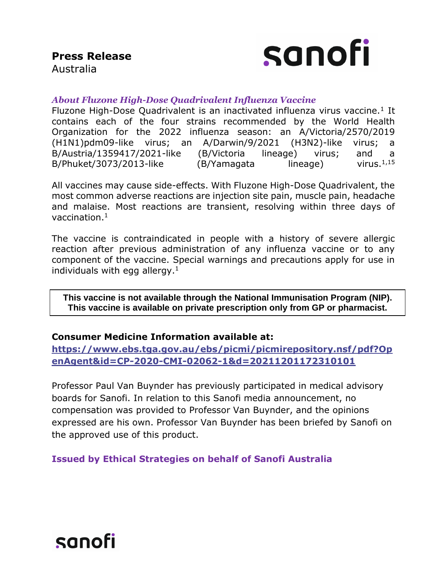

# Australia

### *About Fluzone High-Dose Quadrivalent Influenza Vaccine*

Fluzone High-Dose Quadrivalent is an inactivated influenza virus vaccine.<sup>1</sup> It contains each of the four strains recommended by the World Health Organization for the 2022 influenza season: an A/Victoria/2570/2019 (H1N1)pdm09-like virus; an A/Darwin/9/2021 (H3N2)-like virus; a B/Austria/1359417/2021-like (B/Victoria lineage) virus; and a B/Phuket/3073/2013-like  $(B/Y)$ amagata lineage) virus.<sup>1,15</sup>

All vaccines may cause side-effects. With Fluzone High-Dose Quadrivalent, the most common adverse reactions are injection site pain, muscle pain, headache and malaise. Most reactions are transient, resolving within three days of vaccination.<sup>1</sup>

The vaccine is contraindicated in people with a history of severe allergic reaction after previous administration of any influenza vaccine or to any component of the vaccine. Special warnings and precautions apply for use in individuals with egg allergy. $<sup>1</sup>$ </sup>

**This vaccine is not available through the National Immunisation Program (NIP). This vaccine is available on private prescription only from GP or pharmacist.**

### **Consumer Medicine Information available at:**

**[https://www.ebs.tga.gov.au/ebs/picmi/picmirepository.nsf/pdf?Op](https://www.ebs.tga.gov.au/ebs/picmi/picmirepository.nsf/pdf?OpenAgent&id=CP-2020-CMI-02062-1&d=20211201172310101) [enAgent&id=CP-2020-CMI-02062-1&d=20211201172310101](https://www.ebs.tga.gov.au/ebs/picmi/picmirepository.nsf/pdf?OpenAgent&id=CP-2020-CMI-02062-1&d=20211201172310101)**

Professor Paul Van Buynder has previously participated in medical advisory boards for Sanofi. In relation to this Sanofi media announcement, no compensation was provided to Professor Van Buynder, and the opinions expressed are his own. Professor Van Buynder has been briefed by Sanofi on the approved use of this product.

**Issued by Ethical Strategies on behalf of Sanofi Australia**

# sanofi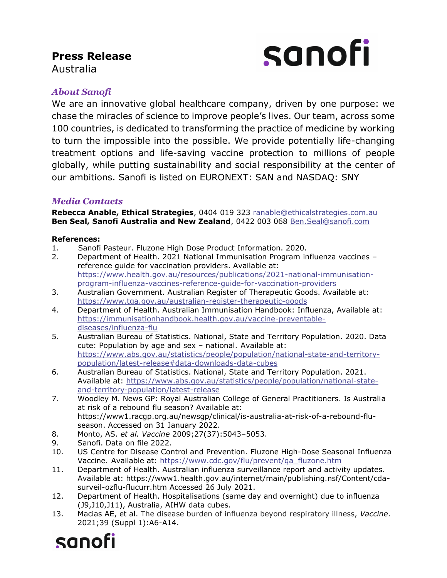## **Press Release**  Australia



## *About Sanofi*

We are an innovative global healthcare company, driven by one purpose: we chase the miracles of science to improve people's lives. Our team, across some 100 countries, is dedicated to transforming the practice of medicine by working to turn the impossible into the possible. We provide potentially life-changing treatment options and life-saving vaccine protection to millions of people globally, while putting sustainability and social responsibility at the center of our ambitions. Sanofi is listed on EURONEXT: SAN and NASDAQ: SNY

#### *Media Contacts*

**Rebecca Anable, Ethical Strategies**, 0404 019 323 [ranable@ethicalstrategies.com.au](mailto:ranable@ethicalstrategies.com.au) **Ben Seal, Sanofi Australia and New Zealand**, 0422 003 068 Ben.Seal@sanofi.com

#### **References:**

- 1. Sanofi Pasteur. Fluzone High Dose Product Information. 2020.
- 2. Department of Health. 2021 National Immunisation Program influenza vaccines reference guide for vaccination providers. Available at: [https://www.health.gov.au/resources/publications/2021-national-immunisation](https://www.health.gov.au/resources/publications/2021-national-immunisation-program-influenza-vaccines-reference-guide-for-vaccination-providers)[program-influenza-vaccines-reference-guide-for-vaccination-providers](https://www.health.gov.au/resources/publications/2021-national-immunisation-program-influenza-vaccines-reference-guide-for-vaccination-providers)
- 3. Australian Government. Australian Register of Therapeutic Goods. Available at: <https://www.tga.gov.au/australian-register-therapeutic-goods>
- 4. Department of Health. Australian Immunisation Handbook: Influenza, Available at: [https://immunisationhandbook.health.gov.au/vaccine-preventable](https://immunisationhandbook.health.gov.au/vaccine-preventable-diseases/influenza-flu)[diseases/influenza-flu](https://immunisationhandbook.health.gov.au/vaccine-preventable-diseases/influenza-flu)
- 5. Australian Bureau of Statistics. National, State and Territory Population. 2020. Data cute: Population by age and sex – national. Available at: [https://www.abs.gov.au/statistics/people/population/national-state-and-territory](https://www.abs.gov.au/statistics/people/population/national-state-and-territory-population/latest-release#data-downloads-data-cubes)[population/latest-release#data-downloads-data-cubes](https://www.abs.gov.au/statistics/people/population/national-state-and-territory-population/latest-release#data-downloads-data-cubes)
- 6. Australian Bureau of Statistics. National, State and Territory Population. 2021. Available at: [https://www.abs.gov.au/statistics/people/population/national-state](https://www.abs.gov.au/statistics/people/population/national-state-and-territory-population/latest-release)[and-territory-population/latest-release](https://www.abs.gov.au/statistics/people/population/national-state-and-territory-population/latest-release)
- 7. Woodley M. News GP: Royal Australian College of General Practitioners. Is Australia at risk of a rebound flu season? Available at: https://www1.racgp.org.au/newsgp/clinical/is-australia-at-risk-of-a-rebound-fluseason. Accessed on 31 January 2022.
- 8. Monto, AS. *et al. Vaccine* 2009;27(37):5043–5053.
- 9. Sanofi. Data on file 2022.
- 10. US Centre for Disease Control and Prevention. Fluzone High-Dose Seasonal Influenza Vaccine. Available at: [https://www.cdc.gov/flu/prevent/qa\\_fluzone.htm](https://www.cdc.gov/flu/prevent/qa_fluzone.htm)
- 11. Department of Health. Australian influenza surveillance report and activity updates. Available at: https://www1.health.gov.au/internet/main/publishing.nsf/Content/cdasurveil-ozflu-flucurr.htm Accessed 26 July 2021.
- 12. Department of Health. Hospitalisations (same day and overnight) due to influenza (J9,J10,J11), Australia, AIHW data cubes.
- 13. Macias AE, et al. The disease burden of influenza beyond respiratory illness, *Vaccine*. 2021;39 (Suppl 1):A6-A14.